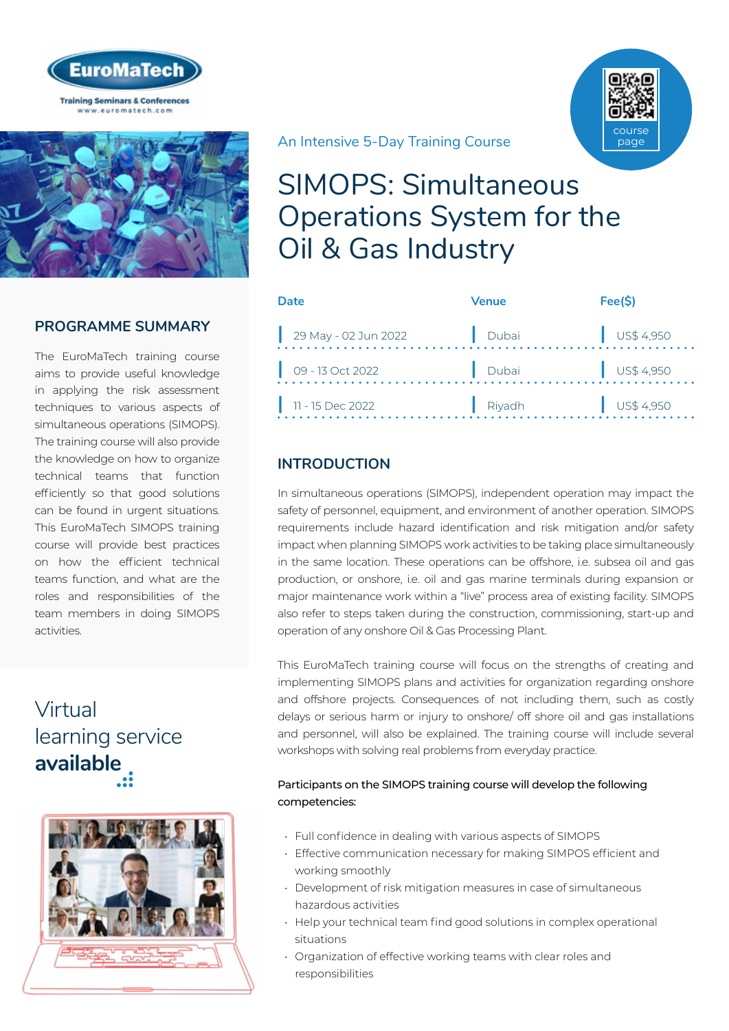



## **PROGRAMME SUMMARY**

The EuroMaTech training course aims to provide useful knowledge in applying the risk assessment techniques to various aspects of simultaneous operations (SIMOPS). The training course will also provide the knowledge on how to organize technical teams that function efficiently so that good solutions can be found in urgent situations. This EuroMaTech SIMOPS training course will provide best practices on how the efficient technical teams function, and what are the roles and responsibilities of the team members in doing SIMOPS activities.

# Virtual [learning service](https://www.euromatech.com/seminars/simops-simultaneous-operations-system-for-the-oil-gas-industry/)  **available**



An Intensive 5-Day Training Course

# SIMOPS: Simultaneous Operations System for the Oil & Gas Industry

| Date                       | Venue  | Fee(S)               |
|----------------------------|--------|----------------------|
| 29 May - 02 Jun 2022       | Dubai  | $\bigcup$ US\$ 4,950 |
| $\bigcup$ 09 - 13 Oct 2022 | Dubai  | $\bigcup$ US\$ 4,950 |
| 11 - 15 Dec 2022           | Riyadh | $\bigcup$ US\$ 4,950 |

## **INTRODUCTION**

In simultaneous operations (SIMOPS), independent operation may impact the safety of personnel, equipment, and environment of another operation. SIMOPS requirements include hazard identification and risk mitigation and/or safety impact when planning SIMOPS work activities to be taking place simultaneously in the same location. These operations can be offshore, i.e. subsea oil and gas production, or onshore, i.e. oil and gas marine terminals during expansion or major maintenance work within a "live" process area of existing facility. SIMOPS also refer to steps taken during the construction, commissioning, start-up and operation of any onshore Oil & Gas Processing Plant.

This EuroMaTech training course will focus on the strengths of creating and implementing SIMOPS plans and activities for organization regarding onshore and offshore projects. Consequences of not including them, such as costly delays or serious harm or injury to onshore/ off shore oil and gas installations and personnel, will also be explained. The training course will include several workshops with solving real problems from everyday practice.

#### Participants on the SIMOPS training course will develop the following competencies:

- Full confidence in dealing with various aspects of SIMOPS
- Effective communication necessary for making SIMPOS efficient and working smoothly
- Development of risk mitigation measures in case of simultaneous hazardous activities
- Help your technical team find good solutions in complex operational situations
- Organization of effective working teams with clear roles and responsibilities

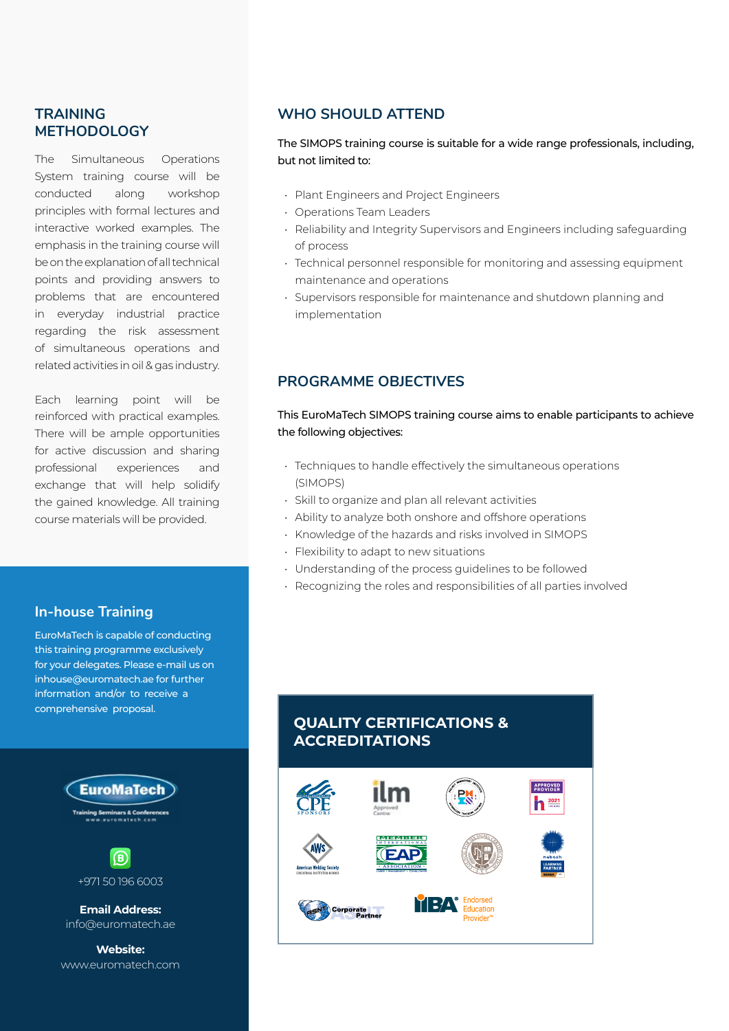#### **TRAINING METHODOLOGY**

The Simultaneous Operations System training course will be conducted along workshop principles with formal lectures and interactive worked examples. The emphasis in the training course will be on the explanation of all technical points and providing answers to problems that are encountered in everyday industrial practice regarding the risk assessment of simultaneous operations and related activities in oil & gas industry.

Each learning point will be reinforced with practical examples. There will be ample opportunities for active discussion and sharing professional experiences and exchange that will help solidify the gained knowledge. All training course materials will be provided.

#### **In-house Training**

EuroMaTech is capable of conducting this training programme exclusively for your delegates. Please e-mail us on inhouse@euromatech.ae for further information and/or to receive a comprehensive proposal.



#### **WHO SHOULD ATTEND**

The SIMOPS training course is suitable for a wide range professionals, including, but not limited to:

- Plant Engineers and Project Engineers
- Operations Team Leaders
- Reliability and Integrity Supervisors and Engineers including safeguarding of process
- Technical personnel responsible for monitoring and assessing equipment maintenance and operations
- Supervisors responsible for maintenance and shutdown planning and implementation

### **PROGRAMME OBJECTIVES**

This EuroMaTech SIMOPS training course aims to enable participants to achieve the following objectives:

- Techniques to handle effectively the simultaneous operations (SIMOPS)
- Skill to organize and plan all relevant activities
- Ability to analyze both onshore and offshore operations
- Knowledge of the hazards and risks involved in SIMOPS
- Flexibility to adapt to new situations
- Understanding of the process guidelines to be followed
- Recognizing the roles and responsibilities of all parties involved

## **QUALITY CERTIFICATIONS & ACCREDITATIONS**

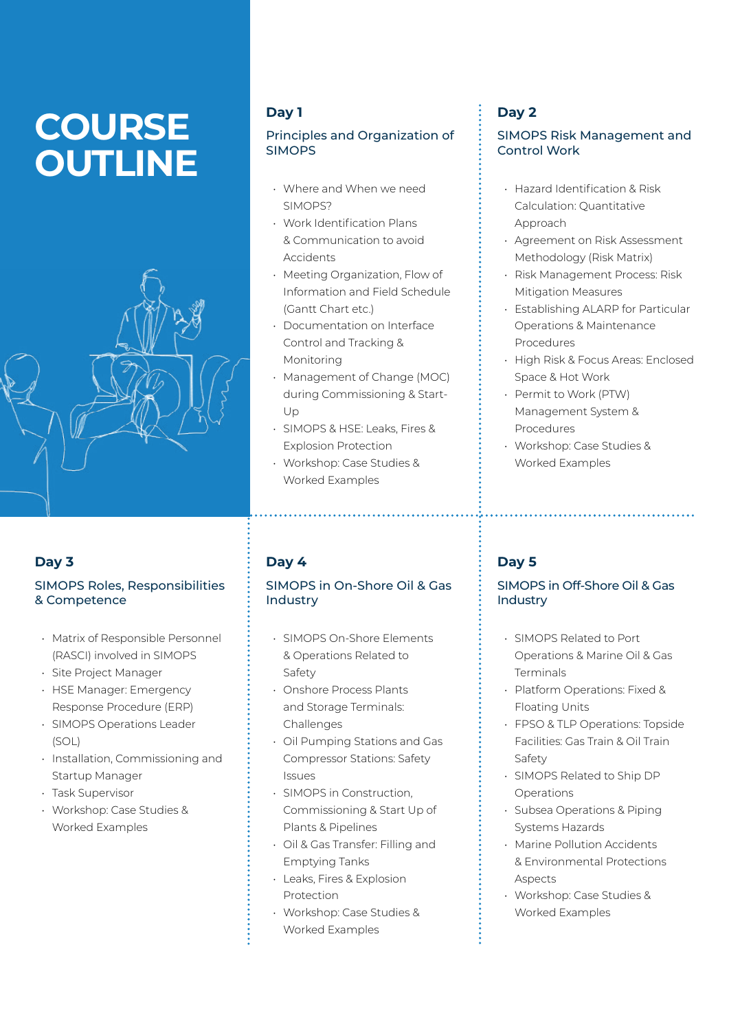# **COURSE OUTLINE**



## **Day 3**

#### SIMOPS Roles, Responsibilities & Competence

- Matrix of Responsible Personnel (RASCI) involved in SIMOPS
- Site Project Manager
- HSE Manager: Emergency Response Procedure (ERP)
- SIMOPS Operations Leader (SOL)
- Installation, Commissioning and Startup Manager
- Task Supervisor
- Workshop: Case Studies & Worked Examples

## **Day 1**

#### Principles and Organization of SIMOPS

- Where and When we need SIMOPS?
- Work Identification Plans & Communication to avoid Accidents
- Meeting Organization, Flow of Information and Field Schedule (Gantt Chart etc.)
- Documentation on Interface Control and Tracking & Monitoring
- Management of Change (MOC) during Commissioning & Start-Up
- SIMOPS & HSE: Leaks, Fires & Explosion Protection
- Workshop: Case Studies & Worked Examples

## **Day 4**

#### SIMOPS in On-Shore Oil & Gas Industry

- SIMOPS On-Shore Elements & Operations Related to Safety
- Onshore Process Plants and Storage Terminals: Challenges
- Oil Pumping Stations and Gas Compressor Stations: Safety Issues
- SIMOPS in Construction, Commissioning & Start Up of Plants & Pipelines
- Oil & Gas Transfer: Filling and Emptying Tanks
- Leaks, Fires & Explosion Protection
- Workshop: Case Studies & Worked Examples

## **Day 2**

#### SIMOPS Risk Management and Control Work

- Hazard Identification & Risk Calculation: Quantitative Approach
- Agreement on Risk Assessment Methodology (Risk Matrix)
- Risk Management Process: Risk Mitigation Measures
- Establishing ALARP for Particular Operations & Maintenance Procedures
- High Risk & Focus Areas: Enclosed Space & Hot Work

- Permit to Work (PTW) Management System & Procedures
- Workshop: Case Studies & Worked Examples

## **Day 5**

#### SIMOPS in Off-Shore Oil & Gas Industry

- SIMOPS Related to Port Operations & Marine Oil & Gas Terminals
- Platform Operations: Fixed & Floating Units
- FPSO & TLP Operations: Topside Facilities: Gas Train & Oil Train Safety
- SIMOPS Related to Ship DP Operations
- Subsea Operations & Piping Systems Hazards
- Marine Pollution Accidents & Environmental Protections Aspects
- Workshop: Case Studies & Worked Examples